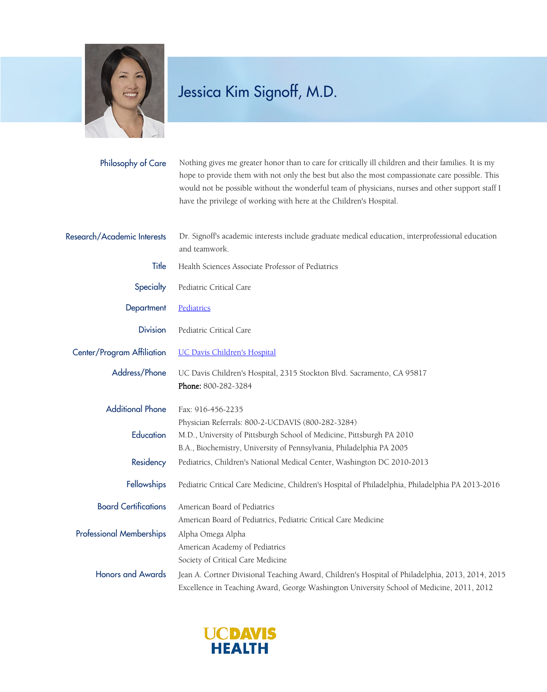

## Jessica Kim Signoff, M.D.

| Philosophy of Care              | Nothing gives me greater honor than to care for critically ill children and their families. It is my<br>hope to provide them with not only the best but also the most compassionate care possible. This<br>would not be possible without the wonderful team of physicians, nurses and other support staff I<br>have the privilege of working with here at the Children's Hospital. |
|---------------------------------|------------------------------------------------------------------------------------------------------------------------------------------------------------------------------------------------------------------------------------------------------------------------------------------------------------------------------------------------------------------------------------|
| Research/Academic Interests     | Dr. Signoff's academic interests include graduate medical education, interprofessional education<br>and teamwork.                                                                                                                                                                                                                                                                  |
| Title                           | Health Sciences Associate Professor of Pediatrics                                                                                                                                                                                                                                                                                                                                  |
| Specialty                       | Pediatric Critical Care                                                                                                                                                                                                                                                                                                                                                            |
| Department                      | Pediatrics                                                                                                                                                                                                                                                                                                                                                                         |
| <b>Division</b>                 | Pediatric Critical Care                                                                                                                                                                                                                                                                                                                                                            |
| Center/Program Affiliation      | <b>UC Davis Children's Hospital</b>                                                                                                                                                                                                                                                                                                                                                |
| Address/Phone                   | UC Davis Children's Hospital, 2315 Stockton Blvd. Sacramento, CA 95817<br>Phone: 800-282-3284                                                                                                                                                                                                                                                                                      |
| <b>Additional Phone</b>         | Fax: 916-456-2235<br>Physician Referrals: 800-2-UCDAVIS (800-282-3284)                                                                                                                                                                                                                                                                                                             |
| Education                       | M.D., University of Pittsburgh School of Medicine, Pittsburgh PA 2010                                                                                                                                                                                                                                                                                                              |
| Residency                       | B.A., Biochemistry, University of Pennsylvania, Philadelphia PA 2005<br>Pediatrics, Children's National Medical Center, Washington DC 2010-2013                                                                                                                                                                                                                                    |
| Fellowships                     | Pediatric Critical Care Medicine, Children's Hospital of Philadelphia, Philadelphia PA 2013-2016                                                                                                                                                                                                                                                                                   |
| <b>Board Certifications</b>     | American Board of Pediatrics<br>American Board of Pediatrics, Pediatric Critical Care Medicine                                                                                                                                                                                                                                                                                     |
| <b>Professional Memberships</b> | Alpha Omega Alpha<br>American Academy of Pediatrics<br>Society of Critical Care Medicine                                                                                                                                                                                                                                                                                           |
| <b>Honors and Awards</b>        | Jean A. Cortner Divisional Teaching Award, Children's Hospital of Philadelphia, 2013, 2014, 2015<br>Excellence in Teaching Award, George Washington University School of Medicine, 2011, 2012                                                                                                                                                                                      |